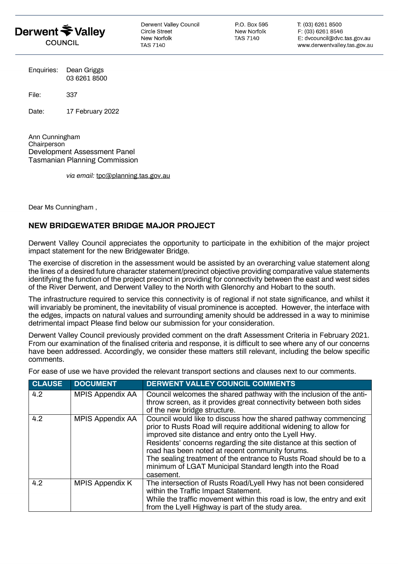

Derwent Valley Council **Circle Street** New Norfolk **TAS 7140** 

P.O. Box 595 New Norfolk **TAS 7140** 

T: (03) 6261 8500 F: (03) 6261 8546 E: dvcouncil@dvc.tas.gov.au www.derwentvalley.tas.gov.au

| Enquiries: | Dean Griggs<br>03 6261 8500 |
|------------|-----------------------------|
|            |                             |

File: 337

Date: 17 February 2022

Ann Cunningham Chairperson Development Assessment Panel Tasmanian Planning Commission

*via email:* [tpc@planning.tas.gov.au](mailto:tpc@planning.tas.gov.au)

Dear Ms Cunningham ,

## NEW BRIDGEWATER BRIDGE MAJOR PROJECT

Derwent Valley Council appreciates the opportunity to participate in the exhibition of the major project impact statement for the new Bridgewater Bridge.

The exercise of discretion in the assessment would be assisted by an overarching value statement along the lines of a desired future character statement/precinct objective providing comparative value statements identifying the function of the project precinct in providing for connectivity between the east and west sides of the River Derwent, and Derwent Valley to the North with Glenorchy and Hobart to the south.

The infrastructure required to service this connectivity is of regional if not state significance, and whilst it will invariably be prominent, the inevitability of visual prominence is accepted. However, the interface with the edges, impacts on natural values and surrounding amenity should be addressed in a way to minimise detrimental impact Please find below our submission for your consideration.

Derwent Valley Council previously provided comment on the draft Assessment Criteria in February 2021. From our examination of the finalised criteria and response, it is difficult to see where any of our concerns have been addressed. Accordingly, we consider these matters still relevant, including the below specific comments.

| <b>CLAUSE</b> | <b>DOCUMENT</b>         | DERWENT VALLEY COUNCIL COMMENTS                                                                                                                                                                                                                                                                                                                                                                                                                                     |
|---------------|-------------------------|---------------------------------------------------------------------------------------------------------------------------------------------------------------------------------------------------------------------------------------------------------------------------------------------------------------------------------------------------------------------------------------------------------------------------------------------------------------------|
| 4.2           | <b>MPIS Appendix AA</b> | Council welcomes the shared pathway with the inclusion of the anti-<br>throw screen, as it provides great connectivity between both sides<br>of the new bridge structure.                                                                                                                                                                                                                                                                                           |
| 4.2           | <b>MPIS Appendix AA</b> | Council would like to discuss how the shared pathway commencing<br>prior to Rusts Road will require additional widening to allow for<br>improved site distance and entry onto the Lyell Hwy.<br>Residents' concerns regarding the site distance at this section of<br>road has been noted at recent community forums.<br>The sealing treatment of the entrance to Rusts Road should be to a<br>minimum of LGAT Municipal Standard length into the Road<br>casement. |
| 4.2           | MPIS Appendix K         | The intersection of Rusts Road/Lyell Hwy has not been considered<br>within the Traffic Impact Statement.<br>While the traffic movement within this road is low, the entry and exit<br>from the Lyell Highway is part of the study area.                                                                                                                                                                                                                             |

For ease of use we have provided the relevant transport sections and clauses next to our comments.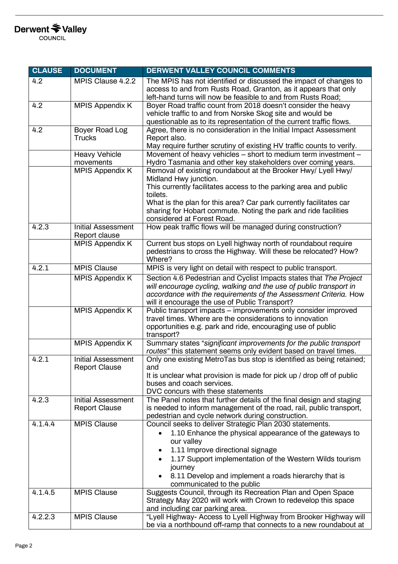| <b>CLAUSE</b> | <b>DOCUMENT</b>                                   | <b>DERWENT VALLEY COUNCIL COMMENTS</b>                                                                                                                                                                                                                                                                                                        |
|---------------|---------------------------------------------------|-----------------------------------------------------------------------------------------------------------------------------------------------------------------------------------------------------------------------------------------------------------------------------------------------------------------------------------------------|
| 4.2           | MPIS Clause 4.2.2                                 | The MPIS has not identified or discussed the impact of changes to<br>access to and from Rusts Road, Granton, as it appears that only<br>left-hand turns will now be feasible to and from Rusts Road;                                                                                                                                          |
| 4.2           | <b>MPIS Appendix K</b>                            | Boyer Road traffic count from 2018 doesn't consider the heavy<br>vehicle traffic to and from Norske Skog site and would be<br>questionable as to its representation of the current traffic flows.                                                                                                                                             |
| 4.2           | <b>Boyer Road Log</b><br><b>Trucks</b>            | Agree, there is no consideration in the Initial Impact Assessment<br>Report also.<br>May require further scrutiny of existing HV traffic counts to verify.                                                                                                                                                                                    |
|               | <b>Heavy Vehicle</b><br>movements                 | Movement of heavy vehicles - short to medium term investment -<br>Hydro Tasmania and other key stakeholders over coming years.                                                                                                                                                                                                                |
|               | <b>MPIS Appendix K</b>                            | Removal of existing roundabout at the Brooker Hwy/ Lyell Hwy/<br>Midland Hwy junction.<br>This currently facilitates access to the parking area and public<br>toilets.<br>What is the plan for this area? Car park currently facilitates car<br>sharing for Hobart commute. Noting the park and ride facilities<br>considered at Forest Road. |
| 4.2.3         | Initial Assessment<br>Report clause               | How peak traffic flows will be managed during construction?                                                                                                                                                                                                                                                                                   |
|               | <b>MPIS Appendix K</b>                            | Current bus stops on Lyell highway north of roundabout require<br>pedestrians to cross the Highway. Will these be relocated? How?<br>Where?                                                                                                                                                                                                   |
| 4.2.1         | <b>MPIS Clause</b>                                | MPIS is very light on detail with respect to public transport.                                                                                                                                                                                                                                                                                |
|               | <b>MPIS Appendix K</b>                            | Section 4.6 Pedestrian and Cyclist Impacts states that The Project<br>will encourage cycling, walking and the use of public transport in<br>accordance with the requirements of the Assessment Criteria. How<br>will it encourage the use of Public Transport?                                                                                |
|               | <b>MPIS Appendix K</b>                            | Public transport impacts – improvements only consider improved<br>travel times. Where are the considerations to innovation<br>opportunities e.g. park and ride, encouraging use of public<br>transport?                                                                                                                                       |
|               | <b>MPIS Appendix K</b>                            | Summary states "significant improvements for the public transport<br>routes" this statement seems only evident based on travel times.                                                                                                                                                                                                         |
| 4.2.1         | <b>Initial Assessment</b><br><b>Report Clause</b> | Only one existing MetroTas bus stop is identified as being retained;<br>and<br>It is unclear what provision is made for pick up / drop off of public<br>buses and coach services.<br>DVC concurs with these statements                                                                                                                        |
| 4.2.3         | <b>Initial Assessment</b><br><b>Report Clause</b> | The Panel notes that further details of the final design and staging<br>is needed to inform management of the road, rail, public transport,<br>pedestrian and cycle network during construction.                                                                                                                                              |
| 4.1.4.4       | <b>MPIS Clause</b>                                | Council seeks to deliver Strategic Plan 2030 statements.<br>1.10 Enhance the physical appearance of the gateways to<br>our valley<br>1.11 Improve directional signage<br>1.17 Support implementation of the Western Wilds tourism<br>journey<br>8.11 Develop and implement a roads hierarchy that is<br>communicated to the public            |
| 4.1.4.5       | <b>MPIS Clause</b>                                | Suggests Council, through its Recreation Plan and Open Space<br>Strategy May 2020 will work with Crown to redevelop this space<br>and including car parking area.                                                                                                                                                                             |
| 4.2.2.3       | <b>MPIS Clause</b>                                | "Lyell Highway- Access to Lyell Highway from Brooker Highway will<br>be via a northbound off-ramp that connects to a new roundabout at                                                                                                                                                                                                        |